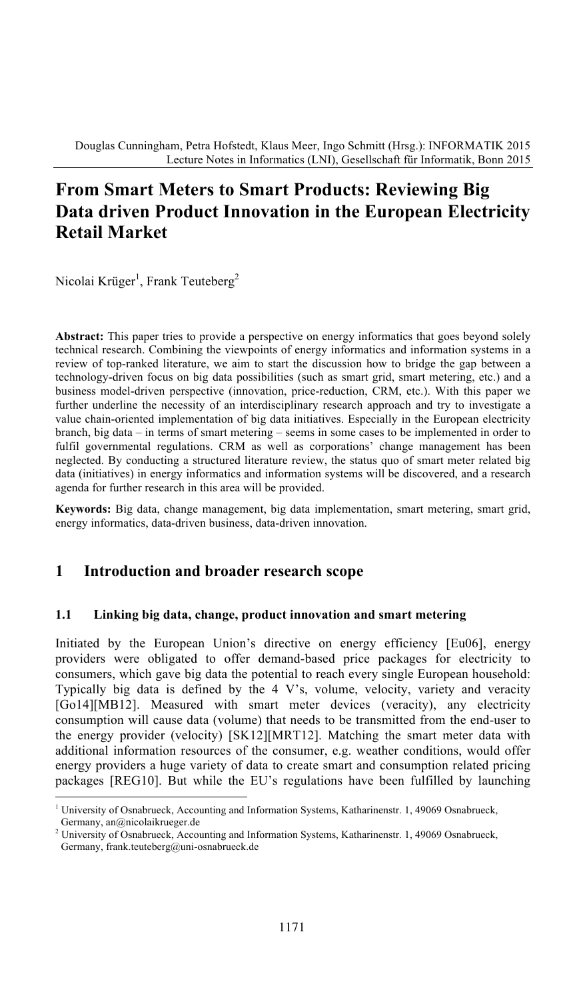# **From Smart Meters to Smart Products: Reviewing Big Data driven Product Innovation in the European Electricity Retail Market**

Nicolai Krüger<sup>1</sup>, Frank Teuteberg<sup>2</sup>

**Abstract:** This paper tries to provide a perspective on energy informatics that goes beyond solely technical research. Combining the viewpoints of energy informatics and information systems in a review of top-ranked literature, we aim to start the discussion how to bridge the gap between a technology-driven focus on big data possibilities (such as smart grid, smart metering, etc.) and a business model-driven perspective (innovation, price-reduction, CRM, etc.). With this paper we further underline the necessity of an interdisciplinary research approach and try to investigate a value chain-oriented implementation of big data initiatives. Especially in the European electricity branch, big data – in terms of smart metering – seems in some cases to be implemented in order to fulfil governmental regulations. CRM as well as corporations' change management has been neglected. By conducting a structured literature review, the status quo of smart meter related big data (initiatives) in energy informatics and information systems will be discovered, and a research agenda for further research in this area will be provided.

**Keywords:** Big data, change management, big data implementation, smart metering, smart grid, energy informatics, data-driven business, data-driven innovation.

### **1 Introduction and broader research scope**

#### **1.1 Linking big data, change, product innovation and smart metering**

Initiated by the European Union's directive on energy efficiency [Eu06], energy providers were obligated to offer demand-based price packages for electricity to consumers, which gave big data the potential to reach every single European household: Typically big data is defined by the  $4$  V's, volume, velocity, variety and veracity [Go14][MB12]. Measured with smart meter devices (veracity), any electricity consumption will cause data (volume) that needs to be transmitted from the end-user to the energy provider (velocity) [SK12][MRT12]. Matching the smart meter data with additional information resources of the consumer, e.g. weather conditions, would offer energy providers a huge variety of data to create smart and consumption related pricing packages [REG10]. But while the EU's regulations have been fulfilled by launching

<sup>1</sup> University of Osnabrueck, Accounting and Information Systems, Katharinenstr. 1, 49069 Osnabrueck, Germany, an@nicolaikrueger.de

<sup>2</sup> University of Osnabrueck, Accounting and Information Systems, Katharinenstr. 1, 49069 Osnabrueck, Germany, frank.teuteberg@uni-osnabrueck.de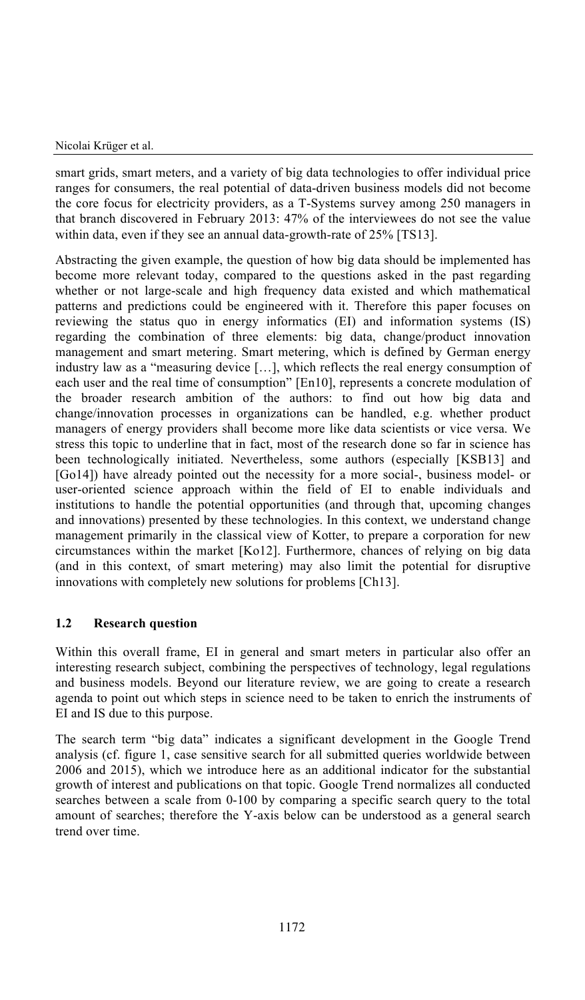smart grids, smart meters, and a variety of big data technologies to offer individual price ranges for consumers, the real potential of data-driven business models did not become the core focus for electricity providers, as a T-Systems survey among 250 managers in that branch discovered in February 2013: 47% of the interviewees do not see the value within data, even if they see an annual data-growth-rate of 25% [TS13].

Abstracting the given example, the question of how big data should be implemented has become more relevant today, compared to the questions asked in the past regarding whether or not large-scale and high frequency data existed and which mathematical patterns and predictions could be engineered with it. Therefore this paper focuses on reviewing the status quo in energy informatics (EI) and information systems (IS) regarding the combination of three elements: big data, change/product innovation management and smart metering. Smart metering, which is defined by German energy industry law as a "measuring device […], which reflects the real energy consumption of each user and the real time of consumption" [En10], represents a concrete modulation of the broader research ambition of the authors: to find out how big data and change/innovation processes in organizations can be handled, e.g. whether product managers of energy providers shall become more like data scientists or vice versa. We stress this topic to underline that in fact, most of the research done so far in science has been technologically initiated. Nevertheless, some authors (especially [KSB13] and [Go14]) have already pointed out the necessity for a more social-, business model- or user-oriented science approach within the field of EI to enable individuals and institutions to handle the potential opportunities (and through that, upcoming changes and innovations) presented by these technologies. In this context, we understand change management primarily in the classical view of Kotter, to prepare a corporation for new circumstances within the market [Ko12]. Furthermore, chances of relying on big data (and in this context, of smart metering) may also limit the potential for disruptive innovations with completely new solutions for problems [Ch13].

#### **1.2 Research question**

Within this overall frame, EI in general and smart meters in particular also offer an interesting research subject, combining the perspectives of technology, legal regulations and business models. Beyond our literature review, we are going to create a research agenda to point out which steps in science need to be taken to enrich the instruments of EI and IS due to this purpose.

The search term "big data" indicatesasignificant development in the Google Trend analysis (cf. figure 1, case sensitive search for all submitted queries worldwide between 2006 and 2015), which we introduce here as an additional indicator for the substantial growth of interest and publications on that topic. Google Trend normalizes all conducted searches between a scale from 0-100 by comparing a specific search query to the total amount of searches; therefore the Y-axis below can be understood as a general search trend over time.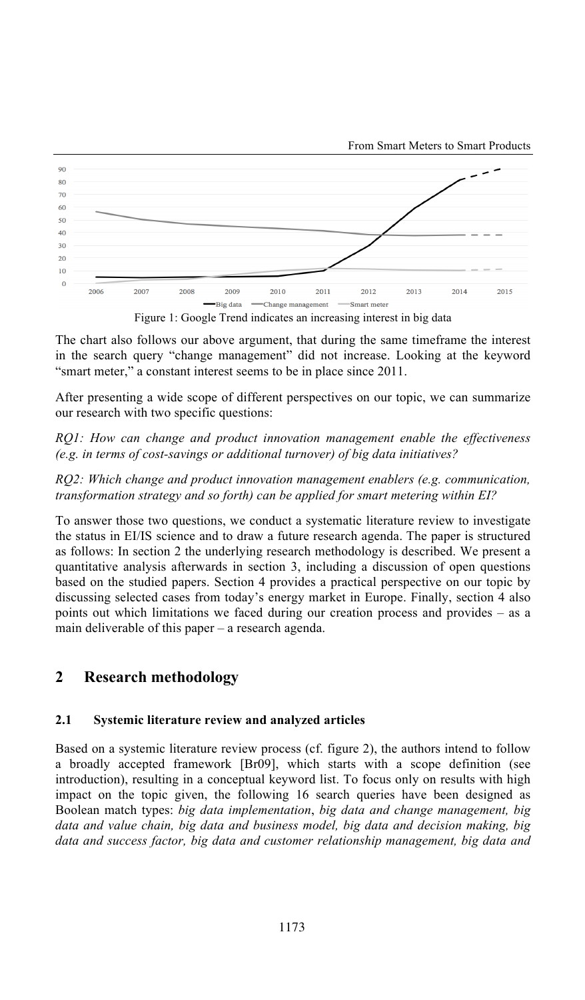



The chart also follows our above argument, that during the same timeframe the interest in the search query "change management" did not increase. Looking at the keyword "smart meter," a constant interest seems to be in place since 2011.

After presenting a wide scope of different perspectives on our topic, we can summarize our research with two specific questions:

*RQ1: How can change and product innovation management enable the effectiveness (e.g. in terms of cost-savings or additional turnover) of big data initiatives?*

*RQ2: Which change and product innovation management enablers (e.g. communication, transformation strategy and so forth) can be applied for smart metering within EI?*

To answer those two questions, we conduct a systematic literature review to investigate the status in EI/IS science and to draw a future research agenda. The paper is structured as follows: In section 2 the underlying research methodology is described. We present a quantitative analysis afterwards in section 3, including a discussion of open questions based on the studied papers. Section 4 provides a practical perspective on our topic by discussing selected cases from today's energy market in Europe. Finally, section4also points out which limitations we faced during our creation process and provides – as a main deliverable of this paper – a research agenda.

# **2 Research methodology**

#### **2.1 Systemic literature review and analyzed articles**

Based on a systemic literature review process (cf. figure 2), the authors intend to follow a broadly accepted framework [Br09], which starts with a scope definition (see introduction), resulting in a conceptual keyword list. To focus only on results with high impact on the topic given, the following 16 search queries have been designed as Boolean match types: *big data implementation*, *big data and change management, big data and value chain, big data and business model, big data and decision making, big data and success factor, big data and customer relationship management, big data and*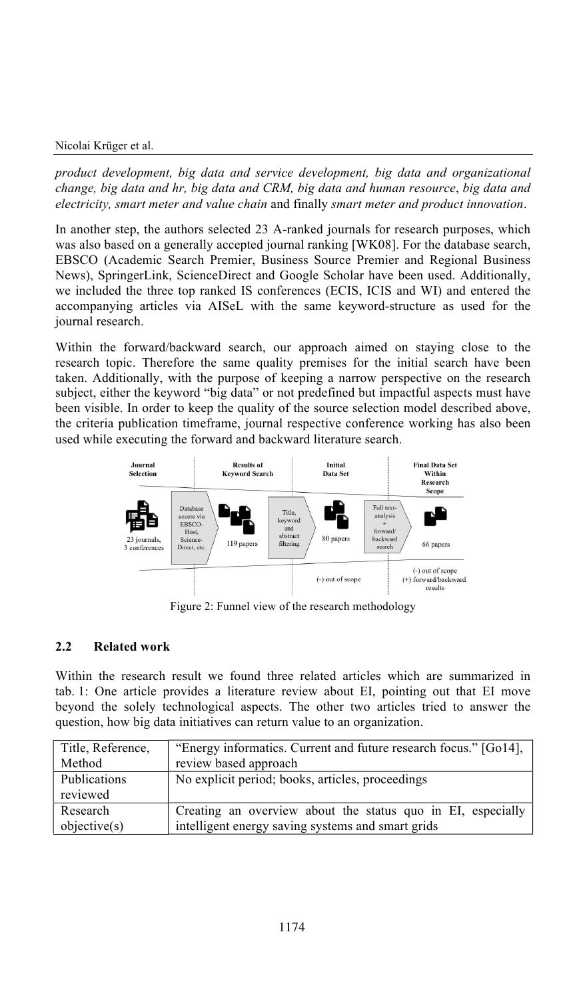*product development, big data and service development, big data and organizational change, big data and hr, big data and CRM, big data and human resource*, *big data and electricity, smart meter and value chain* and finally *smart meter and product innovation*.

In another step, the authors selected 23 A-ranked journals for research purposes, which was also based on a generally accepted journal ranking [WK08]. For the database search, EBSCO (Academic Search Premier, Business Source Premier and Regional Business News), SpringerLink, ScienceDirect and Google Scholar have been used. Additionally, we included the three top ranked IS conferences (ECIS, ICIS and WI) and entered the accompanying articles via AISeL with the same keyword-structure as used for the journal research.

Within the forward/backward search, our approach aimed on staying close to the research topic. Therefore the same quality premises for the initial search have been taken. Additionally, with the purpose of keeping a narrow perspective on the research subject, either the keyword "big data" or not predefined but impactful aspects must have been visible. In order to keep the quality of the source selection model described above, the criteria publication timeframe, journal respective conference working has also been used while executing the forward and backward literature search.



Figure 2: Funnel view of the research methodology

#### **2.2 Related work**

Within the research result we found three related articles which are summarized in tab. 1: One article provides a literature review about EI, pointing out that EI move beyond the solely technological aspects. The other two articles tried to answer the question, how big data initiatives can return value to an organization.

| Title, Reference, | "Energy informatics. Current and future research focus." [Go14], |
|-------------------|------------------------------------------------------------------|
| Method            | review based approach                                            |
| Publications      | No explicit period; books, articles, proceedings                 |
| reviewed          |                                                                  |
| Research          | Creating an overview about the status quo in EI, especially      |
| objective(s)      | intelligent energy saving systems and smart grids                |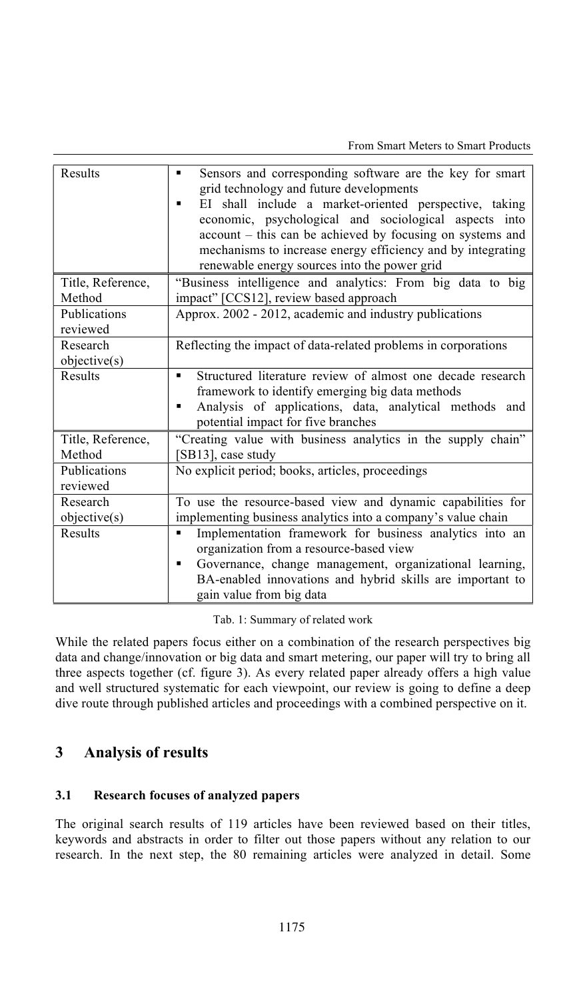| Results                     | Sensors and corresponding software are the key for smart<br>٠<br>grid technology and future developments<br>EI shall include a market-oriented perspective, taking<br>٠<br>economic, psychological and sociological aspects into<br>account – this can be achieved by focusing on systems and<br>mechanisms to increase energy efficiency and by integrating<br>renewable energy sources into the power grid |
|-----------------------------|--------------------------------------------------------------------------------------------------------------------------------------------------------------------------------------------------------------------------------------------------------------------------------------------------------------------------------------------------------------------------------------------------------------|
| Title, Reference,<br>Method | "Business intelligence and analytics: From big data to big<br>impact" [CCS12], review based approach                                                                                                                                                                                                                                                                                                         |
| Publications<br>reviewed    | Approx. 2002 - 2012, academic and industry publications                                                                                                                                                                                                                                                                                                                                                      |
| Research<br>objective(s)    | Reflecting the impact of data-related problems in corporations                                                                                                                                                                                                                                                                                                                                               |
| Results                     | Structured literature review of almost one decade research<br>٠<br>framework to identify emerging big data methods<br>Analysis of applications, data, analytical methods and<br>٠<br>potential impact for five branches                                                                                                                                                                                      |
| Title, Reference,<br>Method | "Creating value with business analytics in the supply chain"<br>[SB13], case study                                                                                                                                                                                                                                                                                                                           |
| Publications<br>reviewed    | No explicit period; books, articles, proceedings                                                                                                                                                                                                                                                                                                                                                             |
| Research<br>objective(s)    | To use the resource-based view and dynamic capabilities for<br>implementing business analytics into a company's value chain                                                                                                                                                                                                                                                                                  |
| Results                     | Implementation framework for business analytics into an<br>$\blacksquare$<br>organization from a resource-based view<br>Governance, change management, organizational learning,<br>٠<br>BA-enabled innovations and hybrid skills are important to<br>gain value from big data                                                                                                                                |

Tab. 1: Summary of related work

While the related papers focus either on a combination of the research perspectives big data and change/innovation or big data and smart metering, our paper will try to bring all three aspects together (cf. figure 3). As every related paper already offers a high value and well structured systematic for each viewpoint, our review is going to define a deep dive route through published articles and proceedings with a combined perspective on it.

# **3 Analysis of results**

#### **3.1 Research focuses of analyzed papers**

The original search results of 119 articles have been reviewed based on their titles, keywords and abstracts in order to filter out those papers without any relation to our research. In the next step, the 80 remaining articles were analyzed in detail. Some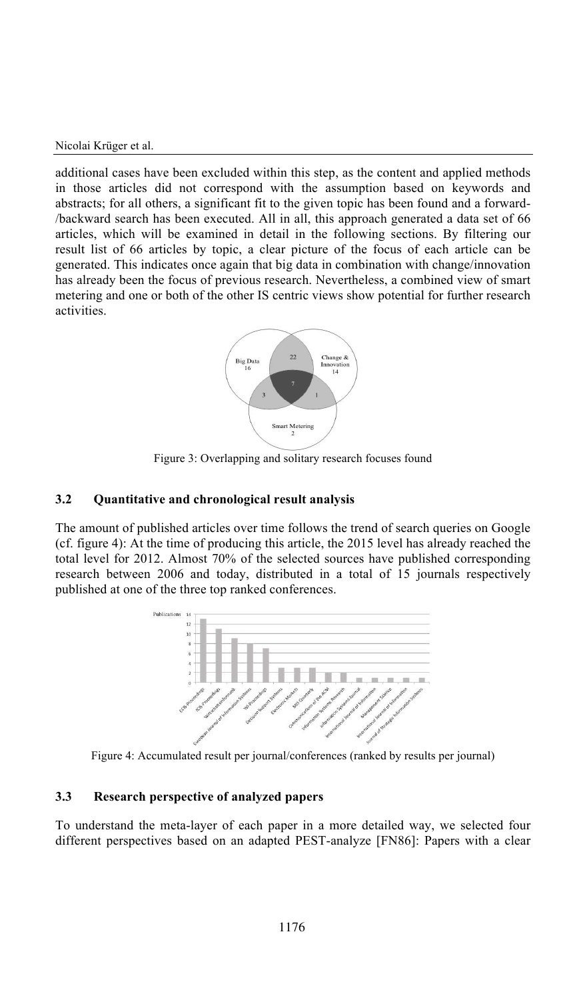additional cases have been excluded within this step, as the content and applied methods in those articles did not correspond with the assumption based on keywords and abstracts; for all others, a significant fit to the given topic has been found and a forward- /backward search has been executed. All in all, this approach generated a data set of 66 articles, which will be examined in detail in the following sections. By filtering our result list of 66 articles by topic, a clear picture of the focus of each article can be generated. This indicates once again that big data in combination with change/innovation has already been the focus of previous research. Nevertheless, a combined view of smart metering and one or both of the other IS centric views show potential for further research activities.



Figure 3: Overlapping and solitary research focuses found

#### **3.2 Quantitative and chronological result analysis**

The amount of published articles over time follows the trend of search queries on Google (cf. figure 4): At the time of producing this article, the 2015 level has already reached the total level for 2012. Almost 70% of the selected sources have published corresponding research between 2006 and today, distributed in a total of 15 journals respectively published at one of the three top ranked conferences.



Figure 4: Accumulated result per journal/conferences (ranked by results per journal)

#### **3.3 Research perspective of analyzed papers**

To understand the meta-layer of each paper in a more detailed way, we selected four different perspectives based on an adapted PEST-analyze [FN86]: Papers with a clear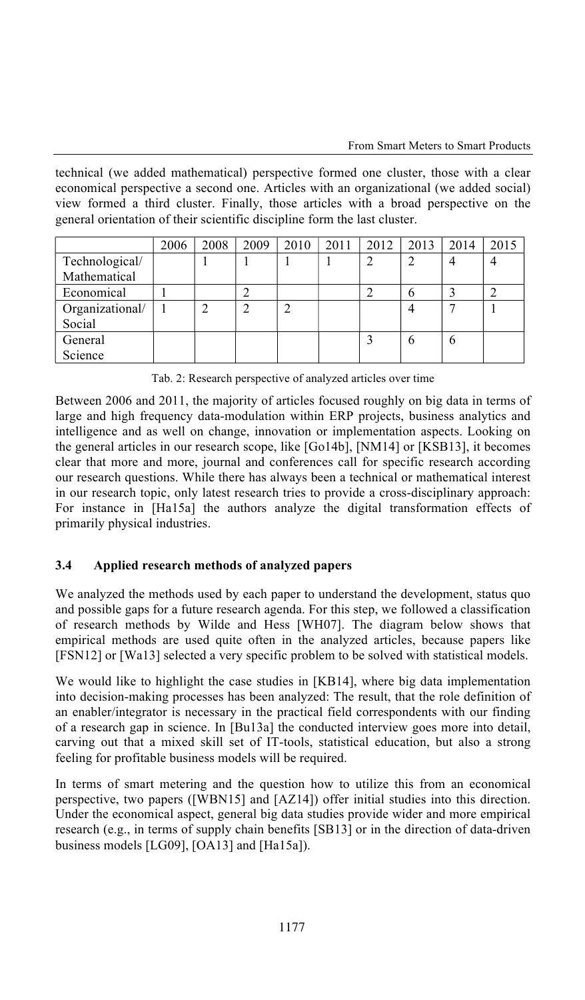technical (we added mathematical) perspective formed one cluster, those with a clear economical perspective a second one. Articles with an organizational (we added social) view formed a third cluster. Finally, those articles with a broad perspective on the general orientation of their scientific discipline form the last cluster.

|                 | 2006 | 2008 | 2009 | 2010 | 2011 | 2012 | 2013 | 2014 | 2015 |
|-----------------|------|------|------|------|------|------|------|------|------|
| Technological/  |      |      |      |      |      | ↑    | ◠    |      |      |
| Mathematical    |      |      |      |      |      |      |      |      |      |
| Economical      |      |      |      |      |      |      | O    |      |      |
| Organizational/ |      |      | ◠    |      |      |      |      |      |      |
| Social          |      |      |      |      |      |      |      |      |      |
| General         |      |      |      |      |      |      | h    |      |      |
| Science         |      |      |      |      |      |      |      |      |      |

Tab. 2: Research perspective of analyzed articles over time

Between 2006 and 2011, the majority of articles focused roughly on big data in terms of large and high frequency data-modulation within ERP projects, business analytics and intelligence and as well on change, innovation or implementation aspects. Looking on the general articles in our research scope, like [Go14b], [NM14] or [KSB13], it becomes clear that more and more, journal and conferences call for specific research according our research questions. While there has always beenatechnical or mathematical interest in our research topic, only latest research tries to provide a cross-disciplinary approach: For instance in [Ha15a] the authors analyze the digital transformation effects of primarily physical industries.

### **3.4 Applied research methods of analyzed papers**

We analyzed the methods used by each paper to understand the development, status quo and possible gaps for a future research agenda. For this step, we followed a classification of research methods by Wilde and Hess [WH07]. The diagram below shows that empirical methods are used quite often in the analyzed articles, because papers like [FSN12] or [Wa13] selected a very specific problem to be solved with statistical models.

We would like to highlight the case studies in [KB14], where big data implementation into decision-making processes has been analyzed: The result, that the role definition of an enabler/integrator is necessary in the practical field correspondents with our finding of a research gap in science. In [Bu13a] the conducted interview goes more into detail, carving out that a mixed skill set of IT-tools, statistical education, but also a strong feeling for profitable business models will be required.

In terms of smart metering and the question how to utilize this from an economical perspective, two papers ([WBN15] and [AZ14]) offer initial studies into this direction. Under the economical aspect, general big data studies provide wider and more empirical research (e.g., in terms of supply chain benefits [SB13] or in the direction of data-driven business models [LG09], [OA13] and [Ha15a]).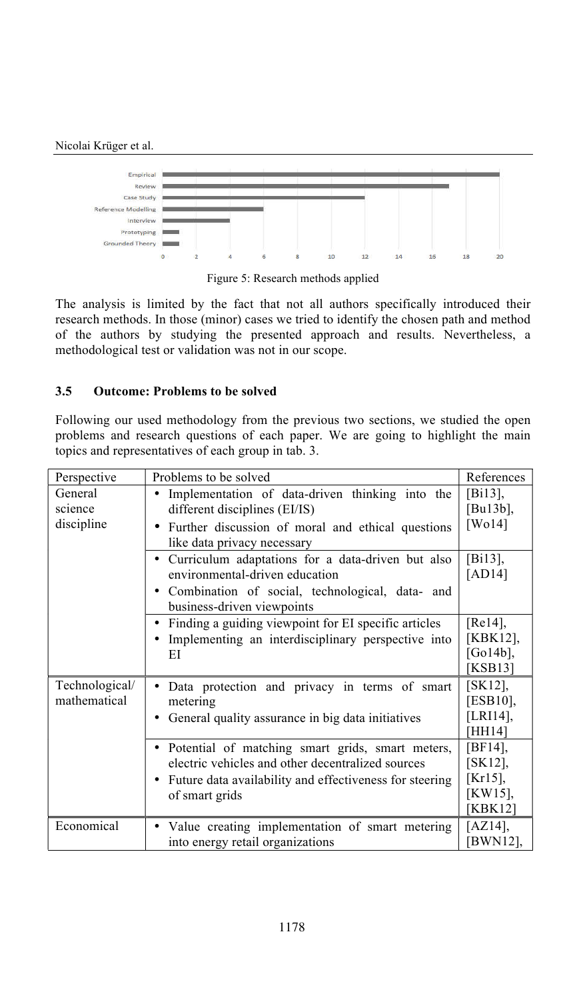

Figure 5: Research methods applied

The analysis is limited by the fact that not all authors specifically introduced their research methods. In those (minor) cases we tried to identify the chosen path and method of the authors by studying the presented approach and results. Nevertheless, a methodological test or validation was not in our scope.

#### **3.5 Outcome: Problems to be solved**

Following our used methodology from the previous two sections, we studied the open problems and research questions of each paper. We are going to highlight the main topics and representatives of each group in tab. 3.

| Perspective    | Problems to be solved                                                | References   |
|----------------|----------------------------------------------------------------------|--------------|
| General        | Implementation of data-driven thinking into the                      | $[Bi13]$ ,   |
| science        | different disciplines (EI/IS)                                        | [Bu13b],     |
| discipline     | Further discussion of moral and ethical questions                    | [ $W014$ ]   |
|                | like data privacy necessary                                          |              |
|                | Curriculum adaptations for a data-driven but also                    | [Bi13],      |
|                | environmental-driven education                                       | [ $AD14$ ]   |
|                | · Combination of social, technological, data- and                    |              |
|                | business-driven viewpoints                                           |              |
|                | Finding a guiding viewpoint for EI specific articles<br>$\bullet$    | [ $Re14$ ],  |
|                | Implementing an interdisciplinary perspective into                   | [KBK12],     |
|                | ЕI                                                                   | [Go $14b$ ], |
|                |                                                                      | [KSB13]      |
| Technological/ | Data protection and privacy in terms of smart                        | $[SK12]$ ,   |
| mathematical   | metering                                                             | [ESB10],     |
|                | General quality assurance in big data initiatives                    | [LRI14],     |
|                |                                                                      | [HH14]       |
|                | Potential of matching smart grids, smart meters,<br>٠                | $[BF14]$ ,   |
|                | electric vehicles and other decentralized sources                    | $[SK12]$ ,   |
|                | Future data availability and effectiveness for steering<br>$\bullet$ | [Kr15],      |
|                | of smart grids                                                       | [KW15],      |
|                |                                                                      | [KBK12]      |
| Economical     | Value creating implementation of smart metering                      | [AZ14],      |
|                | into energy retail organizations                                     | [BWN12],     |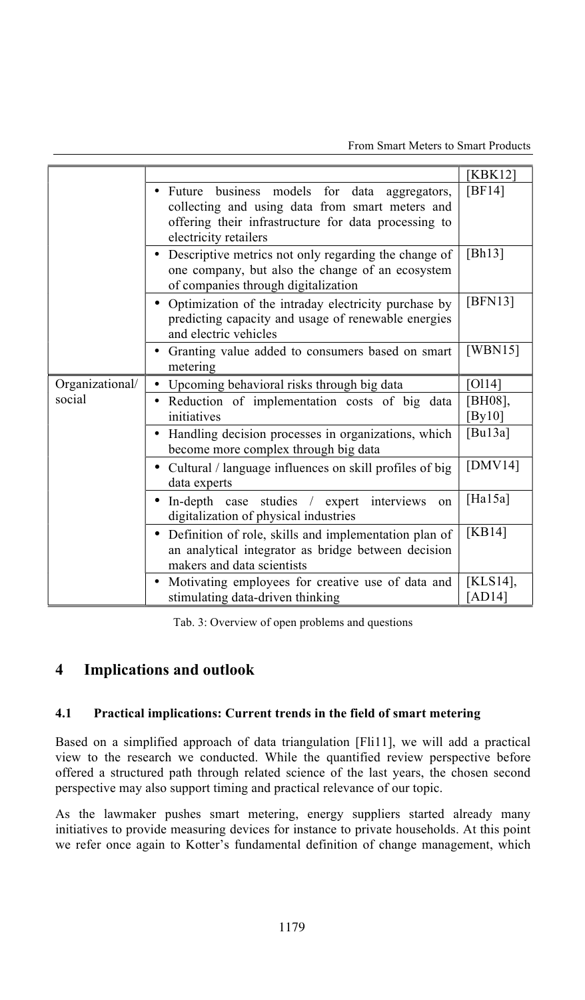|                 |                                                                                                                                                                                               | [KBK12]                |
|-----------------|-----------------------------------------------------------------------------------------------------------------------------------------------------------------------------------------------|------------------------|
|                 | business models for data aggregators,<br>$\bullet$ Future<br>collecting and using data from smart meters and<br>offering their infrastructure for data processing to<br>electricity retailers | [ $BF14$ ]             |
|                 | • Descriptive metrics not only regarding the change of<br>one company, but also the change of an ecosystem<br>of companies through digitalization                                             | [Bh13]                 |
|                 | • Optimization of the intraday electricity purchase by<br>predicting capacity and usage of renewable energies<br>and electric vehicles                                                        | [BFN13]                |
|                 | • Granting value added to consumers based on smart<br>metering                                                                                                                                | [WBN15]                |
| Organizational/ | • Upcoming behavioral risks through big data                                                                                                                                                  | [0114]                 |
| social          | Reduction of implementation costs of big data<br>initiatives                                                                                                                                  | [BH08],<br>[By10]      |
|                 | Handling decision processes in organizations, which<br>$\bullet$<br>become more complex through big data                                                                                      | [ $Bu13a$ ]            |
|                 | • Cultural / language influences on skill profiles of big<br>data experts                                                                                                                     | [ $DMV14$ ]            |
|                 | • In-depth case studies / expert interviews<br>on<br>digitalization of physical industries                                                                                                    | [Ha $15a$ ]            |
|                 | • Definition of role, skills and implementation plan of<br>an analytical integrator as bridge between decision<br>makers and data scientists                                                  | [ $KB14$ ]             |
|                 | • Motivating employees for creative use of data and<br>stimulating data-driven thinking                                                                                                       | [KLS14],<br>[ $AD14$ ] |

Tab. 3: Overview of open problems and questions

# **4 Implications and outlook**

#### **4.1 Practical implications: Current trends in the field of smart metering**

Based on a simplified approach of data triangulation [Fli11], we will add a practical view to the research we conducted. While the quantified review perspective before offered a structured path through related science of the last years, the chosen second perspective may also support timing and practical relevance of our topic.

As the lawmaker pushes smart metering, energy suppliers started already many initiatives to provide measuring devices for instance to private households. At this point we refer once again to Kotter's fundamental definition of change management, which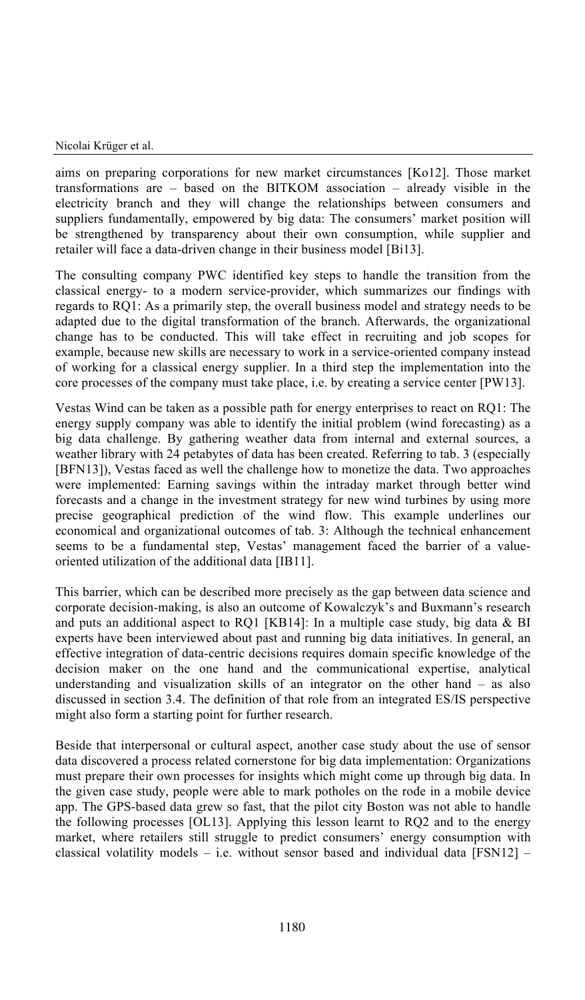aims on preparing corporations for new market circumstances [Ko12]. Those market transformations are – based on the BITKOM association – already visible in the electricity branch and they will change the relationships between consumers and suppliers fundamentally, empowered by big data: The consumers' market position will be strengthened by transparency about their own consumption, while supplier and retailer will face a data-driven change in their business model [Bi13].

The consulting company PWC identified key steps to handle the transition from the classical energy- to a modern service-provider, which summarizes our findings with regards to RQ1: As a primarily step, the overall business model and strategy needs to be adapted due to the digital transformation of the branch. Afterwards, the organizational change has to be conducted. This will take effect in recruiting and job scopes for example, because new skills are necessary to work in a service-oriented company instead of working for a classical energy supplier. In a third step the implementation into the core processes of the company must take place, i.e. by creating a service center [PW13].

Vestas Wind can be taken as a possible path for energy enterprises to react on RQ1: The energy supply company was able to identify the initial problem (wind forecasting) as a big data challenge. By gathering weather data from internal and external sources, a weather library with 24 petabytes of data has been created. Referring to tab. 3 (especially [BFN13]), Vestas faced as well the challenge how to monetize the data. Two approaches were implemented: Earning savings within the intraday market through better wind forecasts and a change in the investment strategy for new wind turbines by using more precise geographical prediction of the wind flow. This example underlines our economical and organizational outcomes of tab. 3: Although the technical enhancement seems to be a fundamental step, Vestas' management faced the barrier of a valueoriented utilization of the additional data [IB11].

This barrier, which can be described more precisely as the gap between data science and corporate decision-making, is also an outcome of Kowalczyk's and Buxmann's research and puts an additional aspect to RQ1 [KB14]: In a multiple case study, big data & BI experts have been interviewed about past and running big data initiatives. In general, an effective integration of data-centric decisions requires domain specific knowledge of the decision maker on the one hand and the communicational expertise, analytical understanding and visualization skills of an integrator on the other hand – as also discussed in section 3.4. The definition of that role from an integrated ES/IS perspective might also form a starting point for further research.

Beside that interpersonal or cultural aspect, another case study about the use of sensor data discovered a process related cornerstone for big data implementation: Organizations must prepare their own processes for insights which might come up through big data. In the given case study, people were able to mark potholes on the rode in a mobile device app. The GPS-based data grew so fast, that the pilot city Boston was not able to handle the following processes [OL13]. Applying this lesson learnt to RQ2 and to the energy market, where retailers still struggle to predict consumers' energy consumption with classical volatility models – i.e. without sensor based and individual data  $[FSN12]$  –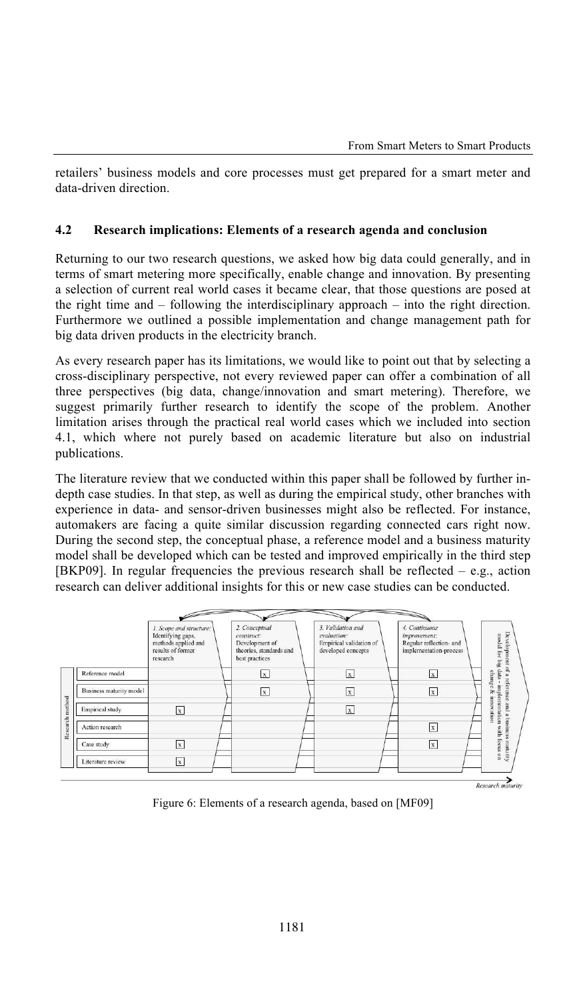retailers' business models and core processes must get prepared for a smart meter and data-driven direction.

#### **4.2 Research implications: Elements of a research agenda and conclusion**

Returning to our two research questions, we asked how big data could generally, and in terms of smart metering more specifically, enable change and innovation. By presenting a selection of current real world cases it became clear, that those questions are posed at the right time and – following the interdisciplinary approach – into the right direction. Furthermore we outlined a possible implementation and change management path for big data driven products in the electricity branch.

As every research paper has its limitations, we would like to point out that by selecting a cross-disciplinary perspective, not every reviewed paper can offer a combination of all three perspectives (big data, change/innovation and smart metering). Therefore, we suggest primarily further research to identify the scope of the problem. Another limitation arises through the practical real world cases which we included into section 4.1, which where not purely based on academic literature but also on industrial publications.

The literature review that we conducted within this paper shall be followed by further indepth case studies. In that step, as well as during the empirical study, other branches with experience in data- and sensor-driven businesses might also be reflected. For instance, automakers are facing a quite similar discussion regarding connected cars right now. During the second step, the conceptual phase, a reference model and a business maturity model shall be developed which can be tested and improved empirically in the third step [BKP09]. In regular frequencies the previous research shall be reflected – e.g., action research can deliver additional insights for this or new case studies can be conducted.

|                         | 1. Scope and structure:<br>Identifying gaps,<br>methods applied and<br>results of former<br>research | 2. Conceptual<br>construct:<br>Development of<br>theories, standards and<br>best practices | 3. Validation and<br>evaluation:<br>Empirical validation of<br>developed concepts | 4. Continuous<br>improvement:<br>Regular reflection- and<br>implementation-process | Development<br>model for big data - implementation |
|-------------------------|------------------------------------------------------------------------------------------------------|--------------------------------------------------------------------------------------------|-----------------------------------------------------------------------------------|------------------------------------------------------------------------------------|----------------------------------------------------|
| Reference model         |                                                                                                      | $\mathbf{x}$                                                                               | $\mathbf x$                                                                       | $\overline{\mathbf{x}}$                                                            | $\overline{a}$<br>change                           |
| Business maturity model |                                                                                                      | $\mathbf{x}$                                                                               | $\overline{\mathbf{X}}$                                                           | $\mathbf x$                                                                        | a reference<br>Þ,                                  |
| Empirical study         | x                                                                                                    |                                                                                            | $\mathbf x$                                                                       |                                                                                    | AOUUI<br>pure<br>retion<br>$\approx$               |
| Action research         |                                                                                                      |                                                                                            |                                                                                   | $\mathbf x$                                                                        | ursnq <sub>1</sub>                                 |
| Case study              | $\mathbf x$                                                                                          |                                                                                            |                                                                                   | $\ensuremath{\mathbf{x}}$                                                          | with focus on<br>Curaneur                          |
| Literature review       | $\mathbf x$                                                                                          |                                                                                            |                                                                                   |                                                                                    |                                                    |

Figure 6: Elements of a research agenda, based on [MF09]